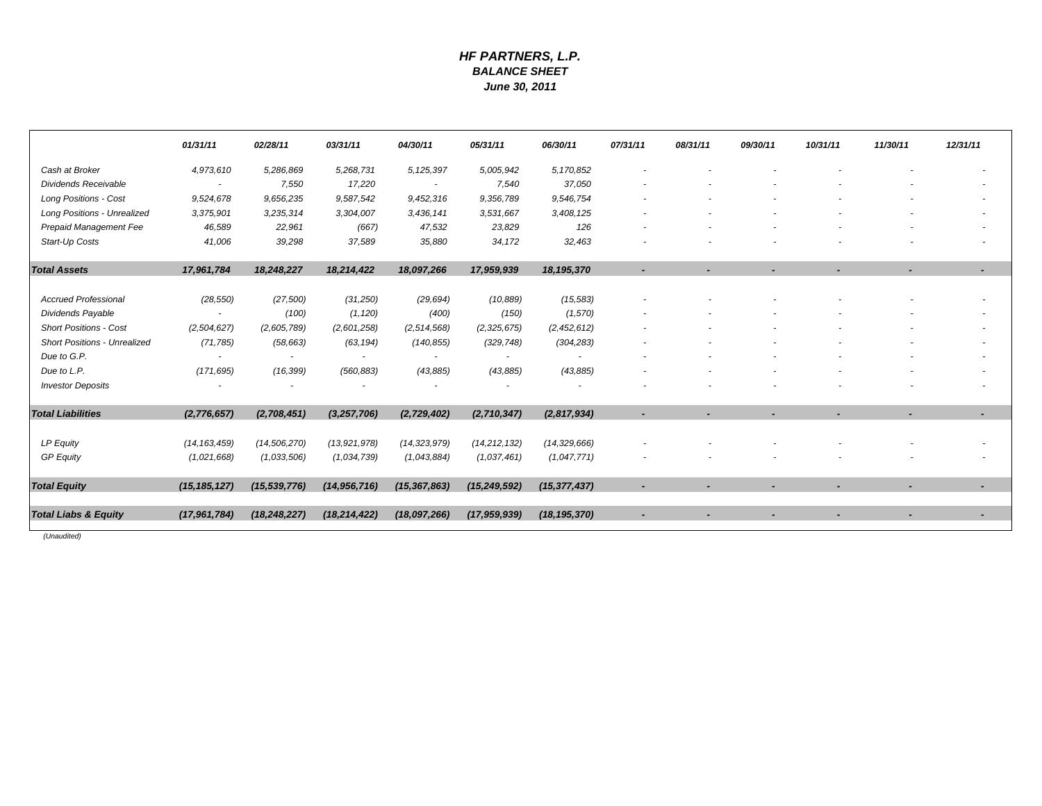### *HF PARTNERS, L.P. BALANCE SHEETJune 30, 2011*

|                                     | 01/31/11       | 02/28/11                 | 03/31/11                 | 04/30/11       | 05/31/11       | 06/30/11       | 07/31/11 | 08/31/11 | 09/30/11 | 10/31/11 | 11/30/11                 | 12/31/11 |
|-------------------------------------|----------------|--------------------------|--------------------------|----------------|----------------|----------------|----------|----------|----------|----------|--------------------------|----------|
| Cash at Broker                      | 4,973,610      | 5,286,869                | 5,268,731                | 5, 125, 397    | 5,005,942      | 5,170,852      |          |          |          |          |                          |          |
| <b>Dividends Receivable</b>         | $\sim$         | 7,550                    | 17,220                   | $\sim$         | 7,540          | 37,050         |          |          |          |          |                          |          |
| <b>Long Positions - Cost</b>        | 9,524,678      | 9,656,235                | 9,587,542                | 9,452,316      | 9,356,789      | 9,546,754      |          |          |          |          |                          |          |
| <b>Long Positions - Unrealized</b>  | 3,375,901      | 3,235,314                | 3,304,007                | 3,436,141      | 3,531,667      | 3,408,125      |          |          |          |          |                          |          |
| Prepaid Management Fee              | 46,589         | 22,961                   | (667)                    | 47,532         | 23,829         | 126            |          |          |          |          |                          |          |
| Start-Up Costs                      | 41,006         | 39,298                   | 37,589                   | 35,880         | 34,172         | 32,463         |          |          |          |          |                          |          |
| <b>Total Assets</b>                 | 17,961,784     | 18,248,227               | 18,214,422               | 18,097,266     | 17,959,939     | 18, 195, 370   |          |          |          |          |                          |          |
| <b>Accrued Professional</b>         | (28, 550)      | (27, 500)                | (31, 250)                | (29, 694)      | (10, 889)      | (15, 583)      |          |          |          |          |                          |          |
| Dividends Payable                   |                | (100)                    | (1, 120)                 | (400)          | (150)          | (1,570)        |          |          |          |          |                          |          |
| <b>Short Positions - Cost</b>       | (2,504,627)    | (2,605,789)              | (2,601,258)              | (2,514,568)    | (2,325,675)    | (2,452,612)    |          |          |          |          |                          |          |
| <b>Short Positions - Unrealized</b> | (71, 785)      | (58, 663)                | (63, 194)                | (140, 855)     | (329, 748)     | (304, 283)     |          |          |          |          |                          |          |
| Due to G.P.                         |                | $\overline{\phantom{a}}$ | $\overline{\phantom{a}}$ |                |                |                |          |          |          |          |                          |          |
| Due to L.P.                         | (171, 695)     | (16, 399)                | (560, 883)               | (43, 885)      | (43, 885)      | (43, 885)      |          |          |          |          |                          |          |
| <b>Investor Deposits</b>            |                |                          |                          |                |                |                |          |          |          |          |                          |          |
| <b>Total Liabilities</b>            | (2,776,657)    | (2,708,451)              | (3, 257, 706)            | (2,729,402)    | (2,710,347)    | (2,817,934)    |          |          |          |          |                          |          |
| <b>LP Equity</b>                    | (14, 163, 459) | (14, 506, 270)           | (13, 921, 978)           | (14, 323, 979) | (14, 212, 132) | (14, 329, 666) |          |          |          |          |                          |          |
| <b>GP Equity</b>                    | (1,021,668)    | (1,033,506)              | (1,034,739)              | (1,043,884)    | (1,037,461)    | (1,047,771)    |          |          |          |          |                          |          |
| <b>Total Equity</b>                 | (15, 185, 127) | (15, 539, 776)           | (14, 956, 716)           | (15, 367, 863) | (15, 249, 592) | (15, 377, 437) |          |          |          |          | $\overline{\phantom{a}}$ |          |
| <b>Total Liabs &amp; Equity</b>     | (17, 961, 784) | (18, 248, 227)           | (18, 214, 422)           | (18,097,266)   | (17, 959, 939) | (18, 195, 370) |          |          |          |          |                          |          |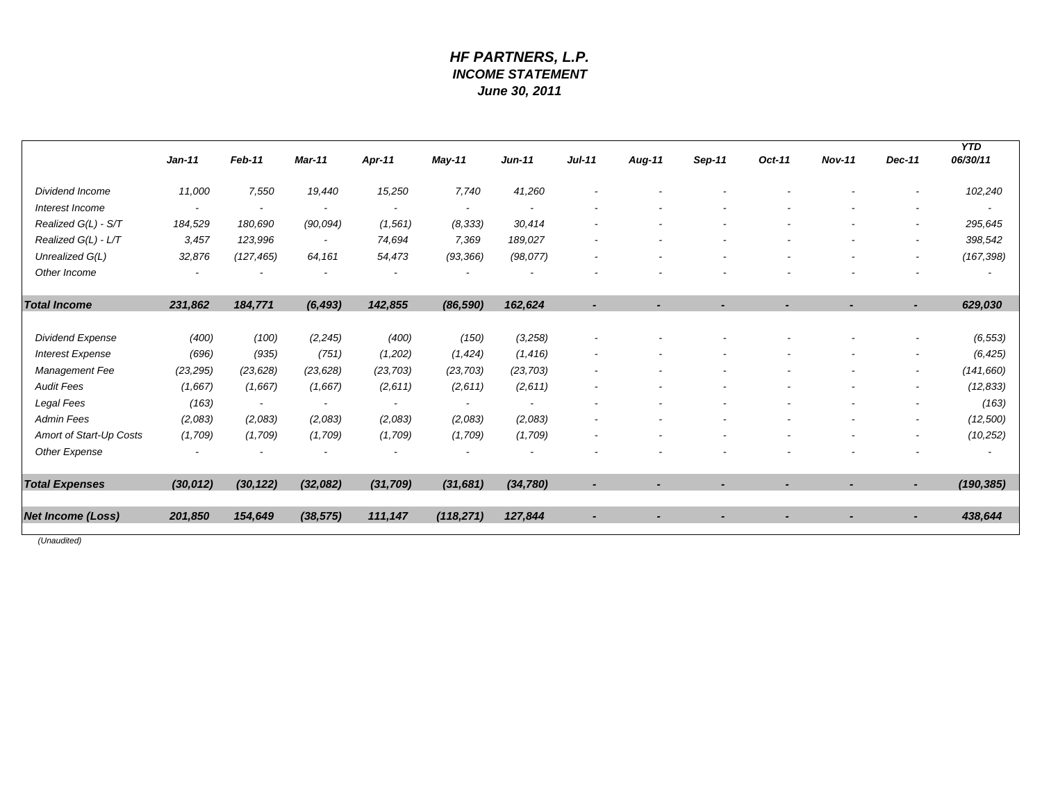# *HF PARTNERS, L.P. INCOME STATEMENT June 30, 2011*

|                          | $Jan-11$                 | Feb-11                   | Mar-11                   | Apr-11                   | May-11                   | $Jun-11$              | $Jul-11$                 | Aug-11                   | Sep-11 | Oct-11 | <b>Nov-11</b> | Dec-11                   | <b>YTD</b><br>06/30/11 |
|--------------------------|--------------------------|--------------------------|--------------------------|--------------------------|--------------------------|-----------------------|--------------------------|--------------------------|--------|--------|---------------|--------------------------|------------------------|
| Dividend Income          | 11,000                   | 7,550                    | 19,440                   | 15,250                   | 7,740                    | 41,260                |                          |                          |        |        |               | $\overline{\phantom{a}}$ | 102,240                |
| Interest Income          | $\overline{\phantom{a}}$ |                          | $\overline{\phantom{a}}$ | $\overline{\phantom{a}}$ | $\overline{\phantom{a}}$ |                       |                          |                          |        |        |               |                          |                        |
| Realized G(L) - S/T      | 184,529                  | 180,690                  | (90, 094)                | (1, 561)                 | (8, 333)                 | 30,414                |                          |                          |        |        |               | ۰                        | 295,645                |
| Realized G(L) - L/T      | 3,457                    | 123,996                  | $\overline{\phantom{a}}$ | 74,694                   | 7,369                    | 189,027               |                          |                          |        |        |               |                          | 398,542                |
| Unrealized G(L)          | 32,876                   | (127, 465)               | 64,161                   | 54,473                   | (93, 366)                | (98, 077)             |                          |                          |        |        |               | $\overline{\phantom{a}}$ | (167, 398)             |
| Other Income             |                          |                          |                          |                          |                          |                       |                          |                          |        |        |               |                          |                        |
| <b>Total Income</b>      | 231,862                  | 184,771                  | (6, 493)                 | 142,855                  | (86, 590)                | 162,624               |                          |                          |        |        |               |                          | 629,030                |
| <b>Dividend Expense</b>  | (400)                    | (100)                    | (2, 245)                 | (400)                    | (150)                    | (3,258)               |                          |                          |        |        |               |                          | (6, 553)               |
| <b>Interest Expense</b>  | (696)                    | (935)                    | (751)                    | (1,202)                  | (1, 424)                 | (1, 416)              |                          |                          |        |        |               | ٠                        | (6, 425)               |
| Management Fee           | (23, 295)                | (23, 628)                | (23, 628)                | (23, 703)                | (23, 703)                | (23, 703)             |                          |                          |        |        |               | ٠                        | (141, 660)             |
| <b>Audit Fees</b>        | (1,667)                  | (1,667)                  | (1,667)                  | (2,611)                  | (2,611)                  | (2,611)               |                          |                          |        |        |               | ۰                        | (12, 833)              |
| Legal Fees               | (163)                    | $\overline{\phantom{a}}$ | $\overline{\phantom{a}}$ | $\overline{\phantom{a}}$ | $\overline{\phantom{a}}$ | $\tilde{\phantom{a}}$ |                          |                          |        |        |               | ۰                        | (163)                  |
| <b>Admin Fees</b>        | (2,083)                  | (2,083)                  | (2,083)                  | (2,083)                  | (2,083)                  | (2,083)               |                          |                          |        |        |               | $\overline{\phantom{a}}$ | (12,500)               |
| Amort of Start-Up Costs  | (1,709)                  | (1,709)                  | (1,709)                  | (1,709)                  | (1,709)                  | (1,709)               |                          |                          |        |        |               |                          | (10, 252)              |
| Other Expense            |                          |                          |                          |                          |                          |                       |                          |                          |        |        |               |                          |                        |
| <b>Total Expenses</b>    | (30, 012)                | (30, 122)                | (32,082)                 | (31, 709)                | (31, 681)                | (34, 780)             |                          |                          |        |        |               |                          | (190, 385)             |
| <b>Net Income (Loss)</b> | 201,850                  | 154,649                  | (38, 575)                | 111,147                  | (118, 271)               | 127,844               | $\overline{\phantom{a}}$ | $\overline{\phantom{a}}$ |        |        |               | ٠                        | 438,644                |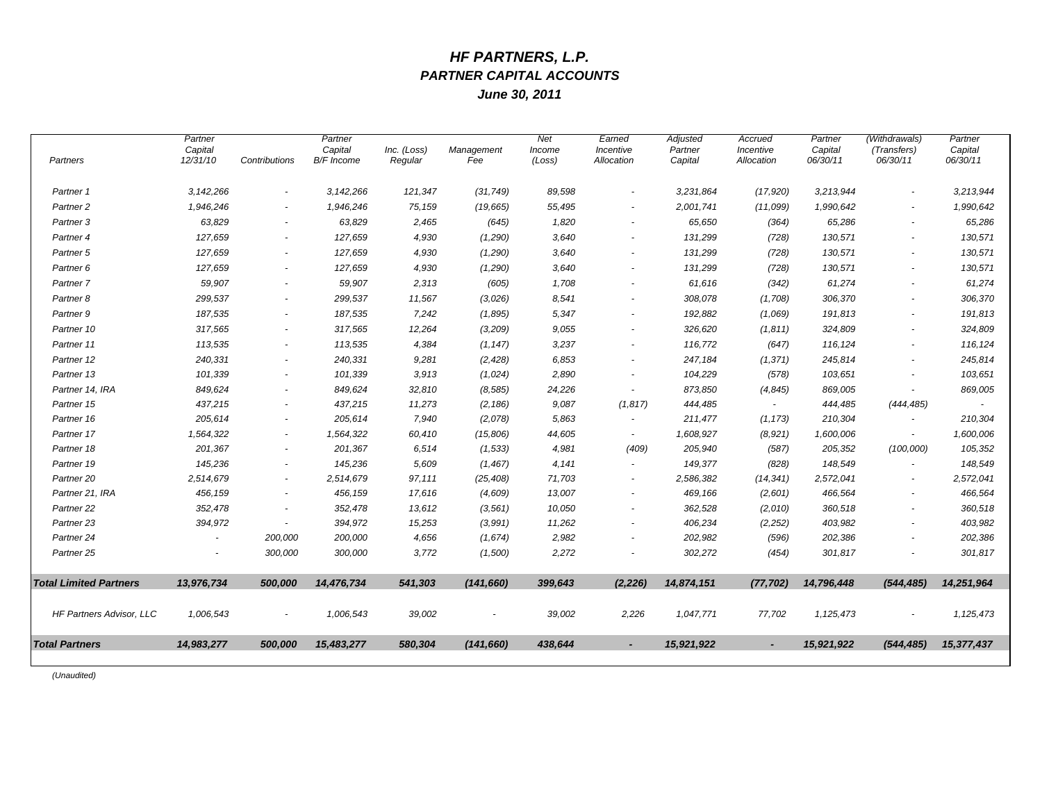# *HF PARTNERS, L.P. PARTNER CAPITAL ACCOUNTS*

*June 30, 2011*

| Partners                      | Partner<br>Capital<br>12/31/10 | Contributions            | Partner<br>Capital<br>B/F Income | Inc. (Loss)<br>Regular | Management<br>Fee | <b>Net</b><br>Income<br>(Loss) | Earned<br>Incentive<br>Allocation | Adjusted<br>Partner<br>Capital | Accrued<br>Incentive<br>Allocation | Partner<br>Capital<br>06/30/11 | (Withdrawals)<br>(Transfers)<br>06/30/11 | Partner<br>Capital<br>06/30/11 |
|-------------------------------|--------------------------------|--------------------------|----------------------------------|------------------------|-------------------|--------------------------------|-----------------------------------|--------------------------------|------------------------------------|--------------------------------|------------------------------------------|--------------------------------|
| Partner 1                     | 3,142,266                      | $\overline{\phantom{a}}$ | 3,142,266                        | 121,347                | (31, 749)         | 89,598                         | $\overline{\phantom{a}}$          | 3,231,864                      | (17,920)                           | 3,213,944                      | $\overline{\phantom{a}}$                 | 3,213,944                      |
| Partner <sub>2</sub>          | 1,946,246                      |                          | 1,946,246                        | 75,159                 | (19, 665)         | 55,495                         |                                   | 2,001,741                      | (11,099)                           | 1,990,642                      | $\sim$                                   | 1,990,642                      |
| Partner 3                     | 63,829                         | $\sim$                   | 63,829                           | 2,465                  | (645)             | 1,820                          |                                   | 65,650                         | (364)                              | 65,286                         | $\overline{\phantom{a}}$                 | 65,286                         |
| Partner <sub>4</sub>          | 127,659                        | $\sim$                   | 127,659                          | 4,930                  | (1,290)           | 3,640                          |                                   | 131,299                        | (728)                              | 130,571                        | $\sim$                                   | 130,571                        |
| Partner 5                     | 127,659                        | $\overline{\phantom{a}}$ | 127,659                          | 4,930                  | (1,290)           | 3,640                          |                                   | 131,299                        | (728)                              | 130,571                        | $\sim$                                   | 130,571                        |
| Partner 6                     | 127,659                        | $\overline{\phantom{a}}$ | 127,659                          | 4,930                  | (1,290)           | 3.640                          |                                   | 131,299                        | (728)                              | 130,571                        | $\overline{\phantom{a}}$                 | 130,571                        |
| Partner 7                     | 59,907                         | $\sim$                   | 59,907                           | 2,313                  | (605)             | 1,708                          | $\overline{\phantom{a}}$          | 61,616                         | (342)                              | 61,274                         | $\overline{\phantom{a}}$                 | 61,274                         |
| Partner <sub>8</sub>          | 299,537                        | $\sim$                   | 299,537                          | 11,567                 | (3,026)           | 8,541                          | $\overline{\phantom{a}}$          | 308,078                        | (1,708)                            | 306,370                        | $\sim$                                   | 306,370                        |
| Partner 9                     | 187,535                        | $\overline{\phantom{a}}$ | 187,535                          | 7,242                  | (1,895)           | 5,347                          | $\overline{\phantom{a}}$          | 192,882                        | (1,069)                            | 191,813                        | $\overline{\phantom{a}}$                 | 191,813                        |
| Partner 10                    | 317,565                        | $\overline{a}$           | 317,565                          | 12,264                 | (3,209)           | 9,055                          | $\overline{\phantom{a}}$          | 326,620                        | (1,811)                            | 324,809                        | $\overline{\phantom{a}}$                 | 324,809                        |
| Partner 11                    | 113,535                        | $\overline{\phantom{a}}$ | 113,535                          | 4,384                  | (1, 147)          | 3,237                          |                                   | 116,772                        | (647)                              | 116,124                        | $\overline{\phantom{a}}$                 | 116,124                        |
| Partner 12                    | 240,331                        | $\overline{\phantom{a}}$ | 240,331                          | 9,281                  | (2, 428)          | 6,853                          | $\overline{\phantom{a}}$          | 247,184                        | (1, 371)                           | 245,814                        | $\sim$                                   | 245,814                        |
| Partner 13                    | 101,339                        | $\sim$                   | 101,339                          | 3,913                  | (1,024)           | 2,890                          | $\tilde{\phantom{a}}$             | 104,229                        | (578)                              | 103,651                        |                                          | 103,651                        |
| Partner 14, IRA               | 849,624                        | $\sim$                   | 849,624                          | 32,810                 | (8, 585)          | 24,226                         | $\overline{\phantom{a}}$          | 873,850                        | (4, 845)                           | 869,005                        | $\overline{\phantom{a}}$                 | 869,005                        |
| Partner 15                    | 437,215                        | $\overline{\phantom{a}}$ | 437,215                          | 11,273                 | (2, 186)          | 9,087                          | (1, 817)                          | 444,485                        | $\sim$                             | 444,485                        | (444, 485)                               |                                |
| Partner 16                    | 205,614                        | $\sim$                   | 205,614                          | 7,940                  | (2,078)           | 5,863                          | $\overline{\phantom{a}}$          | 211,477                        | (1, 173)                           | 210,304                        | $\overline{\phantom{a}}$                 | 210,304                        |
| Partner 17                    | 1,564,322                      | $\overline{\phantom{a}}$ | 1,564,322                        | 60,410                 | (15,806)          | 44,605                         | $\overline{\phantom{a}}$          | 1,608,927                      | (8,921)                            | 1,600,006                      | $\sim$                                   | 1,600,006                      |
| Partner 18                    | 201,367                        | $\overline{\phantom{a}}$ | 201,367                          | 6,514                  | (1, 533)          | 4,981                          | (409)                             | 205,940                        | (587)                              | 205,352                        | (100,000)                                | 105,352                        |
| Partner 19                    | 145,236                        | $\overline{\phantom{a}}$ | 145,236                          | 5,609                  | (1, 467)          | 4,141                          | $\sim$                            | 149,377                        | (828)                              | 148,549                        | $\sim$                                   | 148,549                        |
| Partner <sub>20</sub>         | 2,514,679                      | $\overline{a}$           | 2,514,679                        | 97,111                 | (25, 408)         | 71,703                         |                                   | 2,586,382                      | (14, 341)                          | 2,572,041                      | $\sim$                                   | 2,572,041                      |
| Partner 21, IRA               | 456,159                        | $\overline{\phantom{a}}$ | 456,159                          | 17,616                 | (4,609)           | 13,007                         |                                   | 469,166                        | (2,601)                            | 466,564                        | $\overline{\phantom{a}}$                 | 466,564                        |
| Partner <sub>22</sub>         | 352,478                        | $\sim$                   | 352,478                          | 13,612                 | (3, 561)          | 10,050                         |                                   | 362,528                        | (2,010)                            | 360,518                        | $\sim$                                   | 360,518                        |
| Partner <sub>23</sub>         | 394,972                        | $\sim$                   | 394,972                          | 15,253                 | (3,991)           | 11,262                         | $\overline{\phantom{a}}$          | 406,234                        | (2, 252)                           | 403,982                        | $\sim$                                   | 403,982                        |
| Partner 24                    |                                | 200,000                  | 200,000                          | 4,656                  | (1,674)           | 2,982                          |                                   | 202,982                        | (596)                              | 202,386                        | <u>.</u>                                 | 202,386                        |
| Partner <sub>25</sub>         |                                | 300,000                  | 300,000                          | 3,772                  | (1,500)           | 2,272                          |                                   | 302,272                        | (454)                              | 301,817                        |                                          | 301,817                        |
| <b>Total Limited Partners</b> | 13,976,734                     | 500,000                  | 14,476,734                       | 541,303                | (141, 660)        | 399,643                        | (2, 226)                          | 14,874,151                     | (77, 702)                          | 14,796,448                     | (544, 485)                               | 14,251,964                     |
| HF Partners Advisor, LLC      | 1,006,543                      | $\overline{a}$           | 1,006,543                        | 39,002                 |                   | 39,002                         | 2,226                             | 1,047,771                      | 77,702                             | 1,125,473                      | $\overline{\phantom{a}}$                 | 1,125,473                      |
| <b>Total Partners</b>         | 14,983,277                     | 500,000                  | 15,483,277                       | 580,304                | (141, 660)        | 438,644                        | $\blacksquare$                    | 15,921,922                     | $\blacksquare$                     | 15,921,922                     | (544, 485)                               | 15,377,437                     |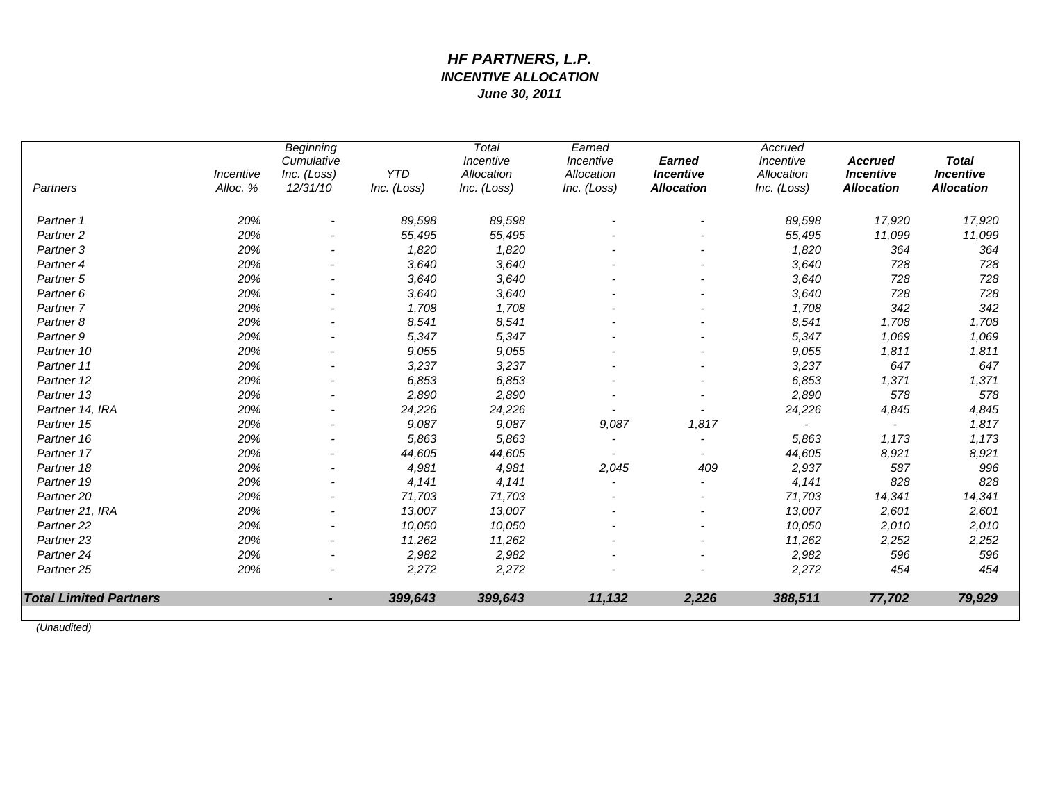# *HF PARTNERS, L.P. INCENTIVE ALLOCATION June 30, 2011*

| Partners                      | Incentive<br>Alloc. % | <b>Beginning</b><br>Cumulative<br>Inc. (Loss)<br>12/31/10 | <b>YTD</b><br>Inc. (Loss) | Total<br>Incentive<br>Allocation<br>Inc. (Loss) | Earned<br>Incentive<br>Allocation<br>Inc. (Loss) | <b>Earned</b><br><b>Incentive</b><br><b>Allocation</b> | Accrued<br>Incentive<br>Allocation<br>Inc. (Loss) | <b>Accrued</b><br><b>Incentive</b><br><b>Allocation</b> | <b>Total</b><br><b>Incentive</b><br><b>Allocation</b> |
|-------------------------------|-----------------------|-----------------------------------------------------------|---------------------------|-------------------------------------------------|--------------------------------------------------|--------------------------------------------------------|---------------------------------------------------|---------------------------------------------------------|-------------------------------------------------------|
|                               |                       |                                                           |                           |                                                 |                                                  |                                                        |                                                   |                                                         |                                                       |
| Partner 1                     | 20%                   |                                                           | 89,598                    | 89,598                                          |                                                  |                                                        | 89,598                                            | 17,920                                                  | 17,920                                                |
| Partner <sub>2</sub>          | 20%                   |                                                           | 55,495                    | 55,495                                          |                                                  |                                                        | 55,495                                            | 11,099                                                  | 11,099                                                |
| Partner <sub>3</sub>          | 20%                   |                                                           | 1,820                     | 1,820                                           |                                                  |                                                        | 1,820                                             | 364                                                     | 364                                                   |
| Partner <sub>4</sub>          | 20%                   |                                                           | 3,640                     | 3,640                                           |                                                  |                                                        | 3,640                                             | 728                                                     | 728                                                   |
| Partner 5                     | 20%                   |                                                           | 3,640                     | 3,640                                           |                                                  |                                                        | 3.640                                             | 728                                                     | 728                                                   |
| Partner <sub>6</sub>          | 20%                   |                                                           | 3,640                     | 3,640                                           |                                                  |                                                        | 3,640                                             | 728                                                     | 728                                                   |
| Partner <sub>7</sub>          | 20%                   |                                                           | 1,708                     | 1,708                                           |                                                  |                                                        | 1,708                                             | 342                                                     | 342                                                   |
| Partner <sub>8</sub>          | 20%                   |                                                           | 8,541                     | 8,541                                           |                                                  |                                                        | 8,541                                             | 1,708                                                   | 1,708                                                 |
| Partner <sub>9</sub>          | 20%                   |                                                           | 5,347                     | 5,347                                           |                                                  |                                                        | 5,347                                             | 1,069                                                   | 1,069                                                 |
| Partner 10                    | 20%                   |                                                           | 9,055                     | 9,055                                           |                                                  |                                                        | 9,055                                             | 1,811                                                   | 1,811                                                 |
| Partner 11                    | 20%                   |                                                           | 3,237                     | 3,237                                           |                                                  |                                                        | 3,237                                             | 647                                                     | 647                                                   |
| Partner 12                    | 20%                   |                                                           | 6,853                     | 6,853                                           |                                                  |                                                        | 6,853                                             | 1,371                                                   | 1,371                                                 |
| Partner 13                    | 20%                   |                                                           | 2,890                     | 2,890                                           |                                                  |                                                        | 2,890                                             | 578                                                     | 578                                                   |
| Partner 14, IRA               | 20%                   | $\overline{\phantom{a}}$                                  | 24,226                    | 24,226                                          |                                                  |                                                        | 24,226                                            | 4,845                                                   | 4,845                                                 |
| Partner 15                    | 20%                   |                                                           | 9,087                     | 9,087                                           | 9,087                                            | 1,817                                                  |                                                   |                                                         | 1,817                                                 |
| Partner 16                    | 20%                   |                                                           | 5,863                     | 5,863                                           |                                                  |                                                        | 5,863                                             | 1,173                                                   | 1,173                                                 |
| Partner 17                    | 20%                   |                                                           | 44,605                    | 44,605                                          |                                                  |                                                        | 44,605                                            | 8,921                                                   | 8,921                                                 |
| Partner 18                    | 20%                   |                                                           | 4,981                     | 4,981                                           | 2,045                                            | 409                                                    | 2,937                                             | 587                                                     | 996                                                   |
| Partner 19                    | 20%                   |                                                           | 4,141                     | 4,141                                           |                                                  |                                                        | 4,141                                             | 828                                                     | 828                                                   |
| Partner <sub>20</sub>         | 20%                   |                                                           | 71,703                    | 71,703                                          |                                                  |                                                        | 71,703                                            | 14,341                                                  | 14,341                                                |
| Partner 21, IRA               | 20%                   |                                                           | 13,007                    | 13,007                                          |                                                  |                                                        | 13,007                                            | 2,601                                                   | 2,601                                                 |
| Partner <sub>22</sub>         | 20%                   |                                                           | 10,050                    | 10,050                                          |                                                  |                                                        | 10,050                                            | 2,010                                                   | 2,010                                                 |
| Partner <sub>23</sub>         | 20%                   |                                                           | 11,262                    | 11,262                                          |                                                  |                                                        | 11,262                                            | 2,252                                                   | 2,252                                                 |
| Partner <sub>24</sub>         | 20%                   |                                                           | 2,982                     | 2,982                                           |                                                  |                                                        | 2,982                                             | 596                                                     | 596                                                   |
| Partner <sub>25</sub>         | 20%                   |                                                           | 2,272                     | 2,272                                           |                                                  |                                                        | 2,272                                             | 454                                                     | 454                                                   |
| <b>Total Limited Partners</b> |                       | $\blacksquare$                                            | 399,643                   | 399,643                                         | 11,132                                           | 2,226                                                  | 388,511                                           | 77,702                                                  | 79,929                                                |
|                               |                       |                                                           |                           |                                                 |                                                  |                                                        |                                                   |                                                         |                                                       |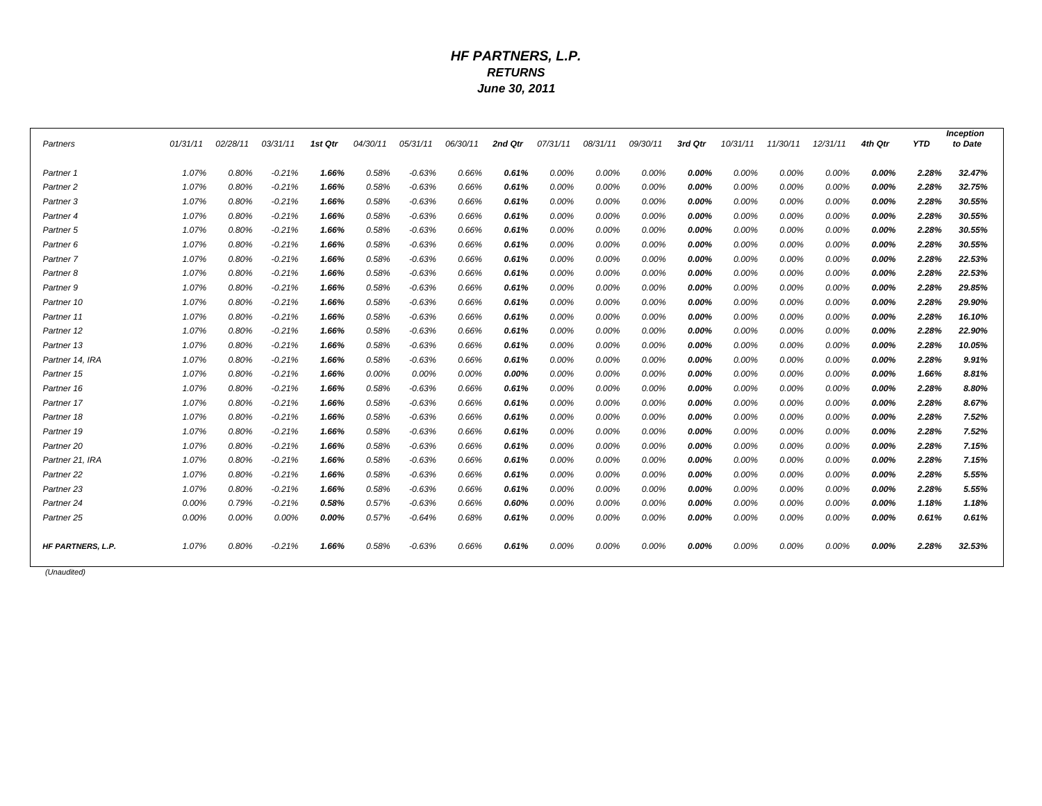### *HF PARTNERS, L.P. RETURNS June 30, 2011*

|                          | 01/31/11 | 02/28/11 | 03/31/11 |         | 04/30/11 |          | 06/30/11 | 2nd Qtr |          |          |          | 3rd Qtr | 10/31/11 | 11/30/11 | 12/31/11 | 4th Otr | <b>YTD</b> | <b>Inception</b><br>to Date |
|--------------------------|----------|----------|----------|---------|----------|----------|----------|---------|----------|----------|----------|---------|----------|----------|----------|---------|------------|-----------------------------|
| Partners                 |          |          |          | 1st Qtr |          | 05/31/11 |          |         | 07/31/11 | 08/31/11 | 09/30/11 |         |          |          |          |         |            |                             |
| Partner 1                | 1.07%    | 0.80%    | $-0.21%$ | 1.66%   | 0.58%    | $-0.63%$ | 0.66%    | 0.61%   | 0.00%    | 0.00%    | 0.00%    | 0.00%   | 0.00%    | 0.00%    | 0.00%    | 0.00%   | 2.28%      | 32.47%                      |
| Partner <sub>2</sub>     | 1.07%    | 0.80%    | $-0.21%$ | 1.66%   | 0.58%    | $-0.63%$ | 0.66%    | 0.61%   | 0.00%    | 0.00%    | 0.00%    | 0.00%   | 0.00%    | 0.00%    | 0.00%    | 0.00%   | 2.28%      | 32.75%                      |
| Partner 3                | 1.07%    | 0.80%    | $-0.21%$ | 1.66%   | 0.58%    | $-0.63%$ | 0.66%    | 0.61%   | 0.00%    | 0.00%    | 0.00%    | 0.00%   | 0.00%    | 0.00%    | 0.00%    | 0.00%   | 2.28%      | 30.55%                      |
| Partner <sub>4</sub>     | 1.07%    | 0.80%    | $-0.21%$ | 1.66%   | 0.58%    | $-0.63%$ | 0.66%    | 0.61%   | 0.00%    | 0.00%    | 0.00%    | 0.00%   | 0.00%    | 0.00%    | 0.00%    | 0.00%   | 2.28%      | 30.55%                      |
| Partner <sub>5</sub>     | 1.07%    | 0.80%    | $-0.21%$ | 1.66%   | 0.58%    | $-0.63%$ | 0.66%    | 0.61%   | 0.00%    | 0.00%    | 0.00%    | 0.00%   | 0.00%    | 0.00%    | 0.00%    | 0.00%   | 2.28%      | 30.55%                      |
| Partner 6                | 1.07%    | 0.80%    | $-0.21%$ | 1.66%   | 0.58%    | $-0.63%$ | 0.66%    | 0.61%   | 0.00%    | 0.00%    | 0.00%    | 0.00%   | 0.00%    | 0.00%    | 0.00%    | 0.00%   | 2.28%      | 30.55%                      |
| Partner 7                | 1.07%    | 0.80%    | $-0.21%$ | 1.66%   | 0.58%    | $-0.63%$ | 0.66%    | 0.61%   | 0.00%    | 0.00%    | 0.00%    | 0.00%   | 0.00%    | 0.00%    | 0.00%    | 0.00%   | 2.28%      | 22.53%                      |
| Partner 8                | 1.07%    | 0.80%    | $-0.21%$ | 1.66%   | 0.58%    | $-0.63%$ | 0.66%    | 0.61%   | 0.00%    | 0.00%    | 0.00%    | 0.00%   | 0.00%    | 0.00%    | 0.00%    | 0.00%   | 2.28%      | 22.53%                      |
| Partner 9                | 1.07%    | 0.80%    | $-0.21%$ | 1.66%   | 0.58%    | $-0.63%$ | 0.66%    | 0.61%   | 0.00%    | 0.00%    | 0.00%    | 0.00%   | 0.00%    | 0.00%    | 0.00%    | 0.00%   | 2.28%      | 29.85%                      |
| Partner 10               | 1.07%    | 0.80%    | $-0.21%$ | 1.66%   | 0.58%    | $-0.63%$ | 0.66%    | 0.61%   | 0.00%    | 0.00%    | 0.00%    | 0.00%   | 0.00%    | 0.00%    | 0.00%    | 0.00%   | 2.28%      | 29.90%                      |
| Partner 11               | 1.07%    | 0.80%    | $-0.21%$ | 1.66%   | 0.58%    | $-0.63%$ | 0.66%    | 0.61%   | 0.00%    | 0.00%    | 0.00%    | 0.00%   | 0.00%    | 0.00%    | 0.00%    | 0.00%   | 2.28%      | 16.10%                      |
| Partner 12               | 1.07%    | 0.80%    | $-0.21%$ | 1.66%   | 0.58%    | $-0.63%$ | 0.66%    | 0.61%   | 0.00%    | 0.00%    | 0.00%    | 0.00%   | 0.00%    | 0.00%    | 0.00%    | 0.00%   | 2.28%      | 22.90%                      |
| Partner 13               | 1.07%    | 0.80%    | $-0.21%$ | 1.66%   | 0.58%    | $-0.63%$ | 0.66%    | 0.61%   | 0.00%    | 0.00%    | 0.00%    | 0.00%   | 0.00%    | 0.00%    | 0.00%    | 0.00%   | 2.28%      | 10.05%                      |
| Partner 14, IRA          | 1.07%    | 0.80%    | $-0.21%$ | 1.66%   | 0.58%    | $-0.63%$ | 0.66%    | 0.61%   | 0.00%    | 0.00%    | 0.00%    | 0.00%   | 0.00%    | 0.00%    | 0.00%    | 0.00%   | 2.28%      | 9.91%                       |
| Partner 15               | 1.07%    | 0.80%    | $-0.21%$ | 1.66%   | 0.00%    | 0.00%    | 0.00%    | 0.00%   | 0.00%    | 0.00%    | 0.00%    | 0.00%   | 0.00%    | 0.00%    | 0.00%    | 0.00%   | 1.66%      | 8.81%                       |
| Partner 16               | 1.07%    | 0.80%    | $-0.21%$ | 1.66%   | 0.58%    | $-0.63%$ | 0.66%    | 0.61%   | 0.00%    | 0.00%    | 0.00%    | 0.00%   | 0.00%    | 0.00%    | 0.00%    | 0.00%   | 2.28%      | 8.80%                       |
| Partner 17               | 1.07%    | 0.80%    | $-0.21%$ | 1.66%   | 0.58%    | $-0.63%$ | 0.66%    | 0.61%   | 0.00%    | 0.00%    | 0.00%    | 0.00%   | 0.00%    | 0.00%    | 0.00%    | 0.00%   | 2.28%      | 8.67%                       |
| Partner 18               | 1.07%    | 0.80%    | $-0.21%$ | 1.66%   | 0.58%    | $-0.63%$ | 0.66%    | 0.61%   | 0.00%    | 0.00%    | 0.00%    | 0.00%   | 0.00%    | 0.00%    | 0.00%    | 0.00%   | 2.28%      | 7.52%                       |
| Partner 19               | 1.07%    | 0.80%    | $-0.21%$ | 1.66%   | 0.58%    | $-0.63%$ | 0.66%    | 0.61%   | 0.00%    | 0.00%    | 0.00%    | 0.00%   | 0.00%    | 0.00%    | 0.00%    | 0.00%   | 2.28%      | 7.52%                       |
| Partner <sub>20</sub>    | 1.07%    | 0.80%    | $-0.21%$ | 1.66%   | 0.58%    | $-0.63%$ | 0.66%    | 0.61%   | 0.00%    | 0.00%    | 0.00%    | 0.00%   | 0.00%    | 0.00%    | 0.00%    | 0.00%   | 2.28%      | 7.15%                       |
| Partner 21, IRA          | 1.07%    | 0.80%    | $-0.21%$ | 1.66%   | 0.58%    | $-0.63%$ | 0.66%    | 0.61%   | 0.00%    | 0.00%    | 0.00%    | 0.00%   | 0.00%    | 0.00%    | 0.00%    | 0.00%   | 2.28%      | 7.15%                       |
| Partner <sub>22</sub>    | 1.07%    | 0.80%    | $-0.21%$ | 1.66%   | 0.58%    | $-0.63%$ | 0.66%    | 0.61%   | 0.00%    | 0.00%    | 0.00%    | 0.00%   | 0.00%    | 0.00%    | 0.00%    | 0.00%   | 2.28%      | 5.55%                       |
| Partner <sub>23</sub>    | 1.07%    | 0.80%    | $-0.21%$ | 1.66%   | 0.58%    | $-0.63%$ | 0.66%    | 0.61%   | 0.00%    | 0.00%    | 0.00%    | 0.00%   | 0.00%    | 0.00%    | 0.00%    | 0.00%   | 2.28%      | 5.55%                       |
| Partner 24               | 0.00%    | 0.79%    | $-0.21%$ | 0.58%   | 0.57%    | $-0.63%$ | 0.66%    | 0.60%   | 0.00%    | 0.00%    | 0.00%    | 0.00%   | 0.00%    | 0.00%    | 0.00%    | 0.00%   | 1.18%      | 1.18%                       |
| Partner <sub>25</sub>    | 0.00%    | 0.00%    | 0.00%    | 0.00%   | 0.57%    | $-0.64%$ | 0.68%    | 0.61%   | 0.00%    | 0.00%    | 0.00%    | 0.00%   | 0.00%    | 0.00%    | 0.00%    | 0.00%   | 0.61%      | 0.61%                       |
|                          |          |          |          |         |          |          |          |         |          |          |          |         |          |          |          |         |            |                             |
| <b>HF PARTNERS, L.P.</b> | 1.07%    | 0.80%    | $-0.21%$ | 1.66%   | 0.58%    | $-0.63%$ | 0.66%    | 0.61%   | 0.00%    | 0.00%    | 0.00%    | 0.00%   | 0.00%    | 0.00%    | 0.00%    | 0.00%   | 2.28%      | 32.53%                      |
|                          |          |          |          |         |          |          |          |         |          |          |          |         |          |          |          |         |            |                             |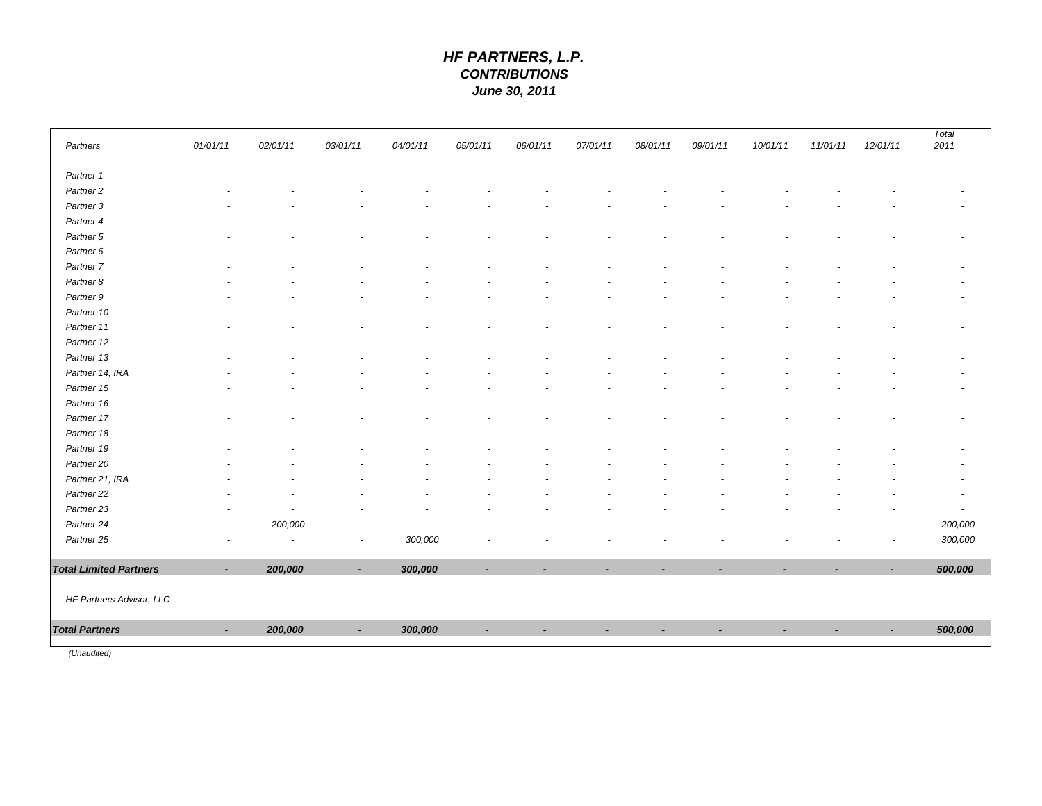# *HF PARTNERS, L.P. CONTRIBUTIONS June 30, 2011*

| Partners                      | 01/01/11                 | 02/01/11                 | 03/01/11                 |          | 05/01/11 | 06/01/11       | 07/01/11       | 08/01/11       | 09/01/11       | 10/01/11                 | 11/01/11 | 12/01/11                 | 2011                     |  |
|-------------------------------|--------------------------|--------------------------|--------------------------|----------|----------|----------------|----------------|----------------|----------------|--------------------------|----------|--------------------------|--------------------------|--|
|                               |                          |                          |                          | 04/01/11 |          |                |                |                |                |                          |          |                          |                          |  |
| Partner 1                     |                          |                          |                          |          |          |                |                |                |                |                          |          |                          |                          |  |
| Partner <sub>2</sub>          |                          |                          |                          |          |          |                |                |                |                |                          |          |                          |                          |  |
| Partner 3                     |                          |                          |                          |          |          |                |                |                |                |                          |          |                          |                          |  |
| Partner 4                     |                          |                          |                          |          |          |                |                |                |                |                          |          |                          |                          |  |
| Partner 5                     |                          |                          |                          |          |          |                |                |                |                |                          |          |                          |                          |  |
| Partner 6                     |                          |                          |                          |          |          |                |                |                |                |                          |          |                          |                          |  |
| Partner 7                     |                          |                          |                          |          |          |                |                |                |                |                          |          |                          |                          |  |
| Partner 8                     |                          |                          |                          |          |          |                |                |                |                |                          |          |                          |                          |  |
| Partner 9                     |                          |                          |                          |          |          |                |                |                |                |                          |          |                          |                          |  |
| Partner 10                    |                          |                          |                          |          |          |                |                |                |                |                          |          |                          |                          |  |
| Partner 11                    |                          |                          |                          |          |          |                |                |                |                |                          |          |                          |                          |  |
| Partner 12                    |                          |                          |                          |          |          |                |                |                |                |                          |          |                          |                          |  |
| Partner 13                    |                          |                          |                          |          |          |                |                |                |                |                          |          |                          |                          |  |
| Partner 14, IRA               |                          |                          |                          |          |          |                |                |                |                |                          |          |                          |                          |  |
| Partner 15                    |                          |                          |                          |          |          |                |                |                |                |                          |          |                          |                          |  |
| Partner 16                    |                          |                          |                          |          |          |                |                |                |                |                          |          |                          |                          |  |
| Partner 17                    |                          |                          |                          |          |          |                |                |                |                |                          |          |                          |                          |  |
| Partner 18                    |                          |                          |                          |          |          |                |                |                |                |                          |          |                          |                          |  |
| Partner 19                    |                          |                          |                          |          |          |                |                |                |                |                          |          |                          |                          |  |
| Partner 20                    |                          |                          |                          |          |          |                |                |                |                |                          |          |                          |                          |  |
| Partner 21, IRA               |                          |                          |                          |          |          |                |                |                |                |                          |          |                          |                          |  |
| Partner 22                    |                          |                          |                          |          |          |                |                |                |                |                          |          |                          |                          |  |
| Partner 23                    |                          | $\tilde{\phantom{a}}$    |                          |          |          |                |                |                |                |                          |          |                          | $\overline{\phantom{a}}$ |  |
| Partner 24                    | $\overline{\phantom{a}}$ | 200,000                  | ٠                        |          |          |                |                |                |                |                          |          |                          | 200,000                  |  |
| Partner 25                    |                          | $\overline{\phantom{a}}$ | $\tilde{\phantom{a}}$    | 300,000  |          |                |                |                |                |                          |          |                          | 300,000                  |  |
| <b>Total Limited Partners</b> | $\overline{\phantom{0}}$ | 200,000                  | $\tilde{\phantom{a}}$    | 300,000  |          | $\overline{a}$ | $\blacksquare$ | $\overline{a}$ | $\overline{a}$ | $\overline{\phantom{a}}$ |          | $\overline{\phantom{a}}$ | 500,000                  |  |
|                               |                          |                          |                          |          |          |                |                |                |                |                          |          |                          |                          |  |
| HF Partners Advisor, LLC      |                          |                          |                          |          |          |                |                |                |                |                          |          |                          |                          |  |
| <b>Total Partners</b>         | $\overline{\phantom{a}}$ | 200,000                  | $\overline{\phantom{a}}$ | 300,000  |          |                |                |                |                |                          |          | ۰                        | 500,000                  |  |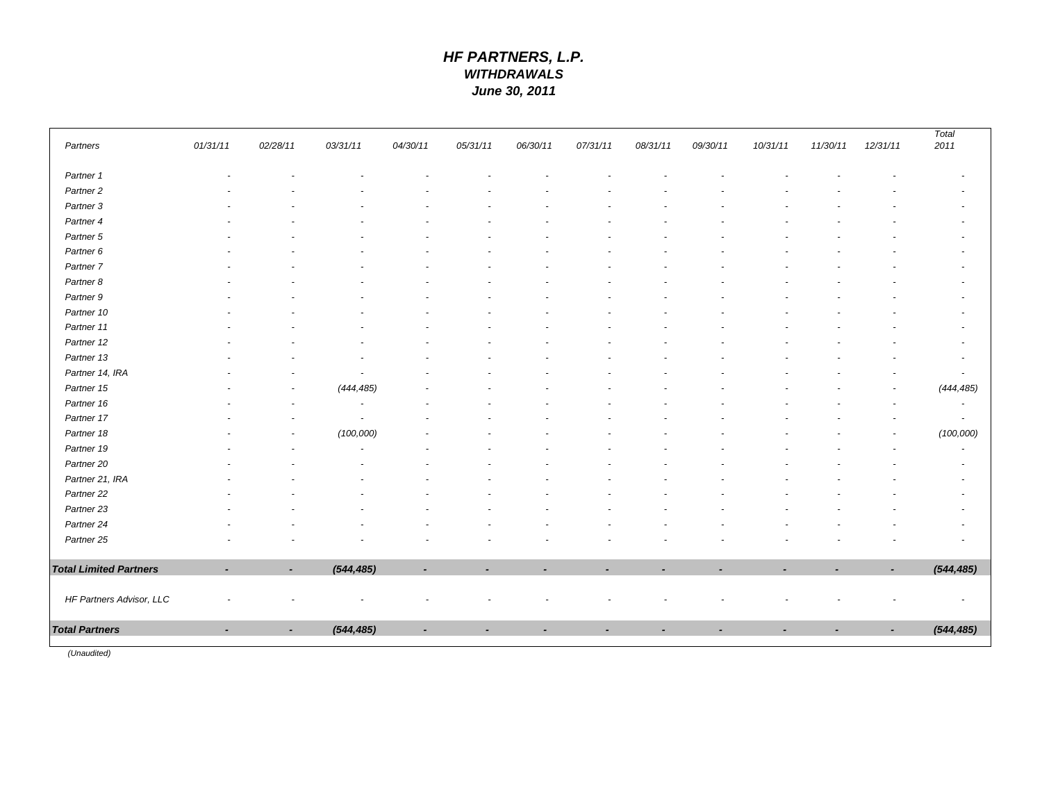# *HF PARTNERS, L.P. WITHDRAWALS June 30, 2011*

| Partners                      | 01/31/11       | 02/28/11                 | 03/31/11                 | 04/30/11                 | 05/31/11                 | 06/30/11                 | 07/31/11                 | 08/31/11 | 09/30/11                 | 10/31/11                 | 11/30/11                 | 12/31/11       | Total<br>2011            |
|-------------------------------|----------------|--------------------------|--------------------------|--------------------------|--------------------------|--------------------------|--------------------------|----------|--------------------------|--------------------------|--------------------------|----------------|--------------------------|
|                               |                |                          |                          |                          |                          |                          |                          |          |                          |                          |                          |                |                          |
| Partner 1                     |                |                          |                          |                          |                          |                          |                          |          |                          |                          |                          |                |                          |
| Partner <sub>2</sub>          |                |                          |                          |                          |                          |                          |                          |          |                          |                          |                          |                |                          |
| Partner 3                     |                |                          |                          |                          |                          |                          |                          |          |                          |                          |                          |                |                          |
| Partner 4                     |                |                          |                          |                          |                          |                          |                          |          |                          |                          |                          |                |                          |
| Partner 5                     |                |                          |                          |                          |                          |                          |                          |          |                          |                          |                          |                |                          |
| Partner 6                     |                |                          |                          |                          |                          |                          |                          |          |                          |                          |                          |                |                          |
| Partner <sub>7</sub>          |                |                          |                          |                          |                          |                          |                          |          |                          |                          |                          |                |                          |
| Partner 8                     |                |                          |                          |                          |                          |                          |                          |          |                          |                          |                          |                |                          |
| Partner 9                     |                |                          |                          |                          |                          |                          |                          |          |                          |                          |                          |                |                          |
| Partner 10                    |                |                          |                          |                          |                          |                          |                          |          |                          |                          |                          |                |                          |
| Partner 11                    |                |                          |                          |                          |                          |                          |                          |          |                          |                          |                          |                |                          |
| Partner 12                    |                |                          |                          |                          |                          |                          |                          |          |                          |                          |                          |                |                          |
| Partner 13                    |                |                          | $\overline{\phantom{a}}$ |                          |                          |                          |                          |          |                          |                          |                          |                |                          |
| Partner 14, IRA               |                |                          | $\overline{a}$           |                          |                          |                          |                          |          |                          |                          |                          |                |                          |
| Partner 15                    |                |                          | (444, 485)               |                          |                          |                          |                          |          |                          |                          |                          |                | (444, 485)               |
| Partner 16                    |                | $\overline{a}$           | $\overline{\phantom{a}}$ |                          |                          |                          |                          |          |                          |                          |                          |                | $\overline{\phantom{a}}$ |
| Partner 17                    |                |                          | $\overline{\phantom{a}}$ |                          |                          |                          |                          |          |                          |                          |                          |                | $\overline{\phantom{a}}$ |
| Partner 18                    |                | $\overline{\phantom{a}}$ | (100,000)                |                          |                          |                          |                          |          |                          |                          |                          | $\overline{a}$ | (100,000)                |
| Partner 19                    |                |                          | $\overline{\phantom{a}}$ |                          |                          |                          |                          |          |                          |                          |                          |                | $\overline{a}$           |
| Partner 20                    |                |                          |                          |                          |                          |                          |                          |          |                          |                          |                          |                |                          |
| Partner 21, IRA               |                |                          |                          |                          |                          |                          |                          |          |                          |                          |                          |                |                          |
| Partner 22                    |                |                          |                          |                          |                          |                          |                          |          |                          |                          |                          |                |                          |
| Partner 23                    |                |                          |                          |                          |                          |                          |                          |          |                          |                          |                          |                |                          |
| Partner 24                    |                |                          |                          |                          |                          |                          |                          |          |                          |                          |                          |                |                          |
| Partner 25                    |                |                          |                          |                          |                          |                          |                          |          |                          |                          |                          |                |                          |
| <b>Total Limited Partners</b> | ٠              | $\overline{\phantom{a}}$ | (544, 485)               | $\overline{\phantom{a}}$ | $\overline{\phantom{a}}$ | $\overline{\phantom{a}}$ | $\overline{\phantom{a}}$ | ٠        | $\overline{\phantom{a}}$ | $\overline{\phantom{a}}$ | $\overline{\phantom{a}}$ | $\blacksquare$ | (544, 485)               |
|                               |                |                          |                          |                          |                          |                          |                          |          |                          |                          |                          |                |                          |
| HF Partners Advisor, LLC      |                |                          |                          |                          |                          |                          |                          |          |                          |                          |                          |                |                          |
| <b>Total Partners</b>         | $\blacksquare$ |                          | (544, 485)               |                          |                          |                          |                          |          |                          |                          |                          |                | (544, 485)               |
|                               |                |                          |                          |                          |                          |                          |                          |          |                          |                          |                          |                |                          |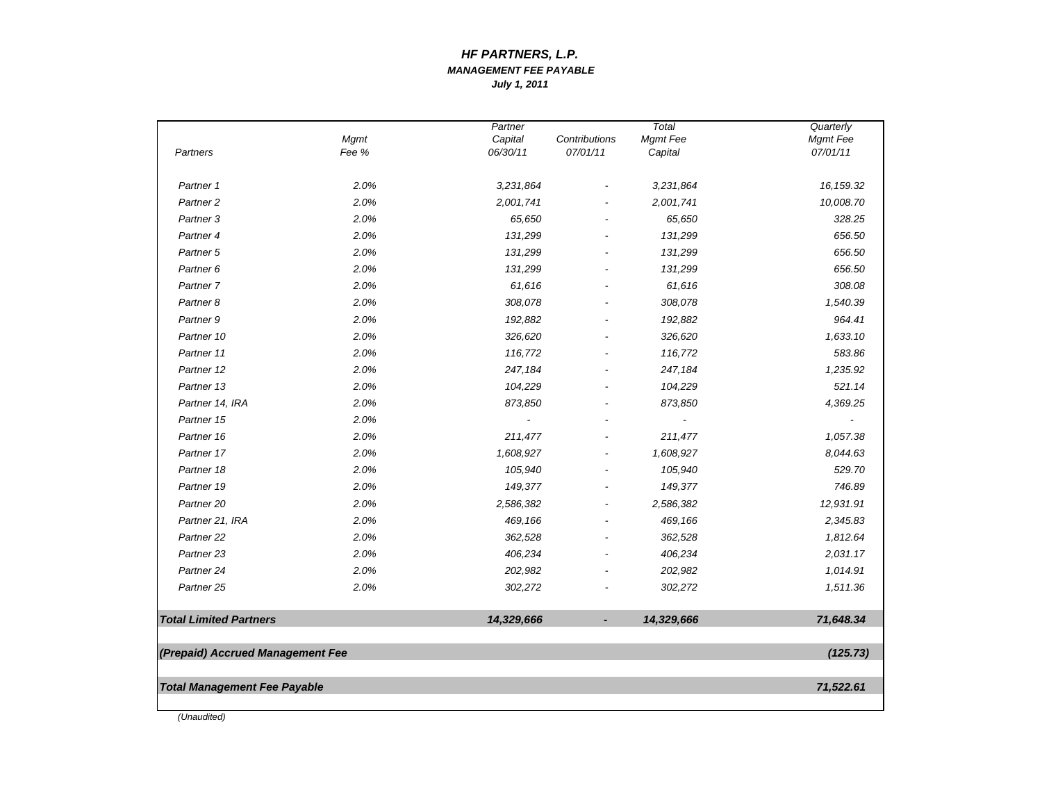#### *MANAGEMENT FEE PAYABLEJuly 1, 2011 HF PARTNERS, L.P.*

| Partners                            | <b>Mgmt</b><br>Fee % | Partner<br>Capital<br>06/30/11 | Contributions<br>07/01/11 | Total<br>Mgmt Fee<br>Capital | Quarterly<br>Mgmt Fee<br>07/01/11 |
|-------------------------------------|----------------------|--------------------------------|---------------------------|------------------------------|-----------------------------------|
| Partner 1                           | 2.0%                 | 3,231,864                      |                           | 3,231,864                    | 16, 159.32                        |
| Partner <sub>2</sub>                | 2.0%                 | 2,001,741                      |                           | 2,001,741                    | 10,008.70                         |
| Partner <sub>3</sub>                | 2.0%                 | 65,650                         |                           | 65,650                       | 328.25                            |
| Partner <sub>4</sub>                | 2.0%                 | 131,299                        |                           | 131,299                      | 656.50                            |
| Partner <sub>5</sub>                | 2.0%                 | 131,299                        |                           | 131,299                      | 656.50                            |
| Partner <sub>6</sub>                | 2.0%                 | 131,299                        |                           | 131,299                      | 656.50                            |
| Partner 7                           | 2.0%                 | 61,616                         |                           | 61,616                       | 308.08                            |
| Partner <sub>8</sub>                | 2.0%                 | 308,078                        |                           | 308,078                      | 1,540.39                          |
| Partner 9                           | 2.0%                 | 192,882                        |                           | 192,882                      | 964.41                            |
| Partner 10                          | 2.0%                 | 326,620                        |                           | 326,620                      | 1,633.10                          |
| Partner 11                          | 2.0%                 | 116,772                        |                           | 116,772                      | 583.86                            |
| Partner 12                          | 2.0%                 | 247,184                        |                           | 247,184                      | 1,235.92                          |
| Partner 13                          | 2.0%                 | 104,229                        |                           | 104,229                      | 521.14                            |
| Partner 14, IRA                     | 2.0%                 | 873,850                        |                           | 873,850                      | 4,369.25                          |
| Partner 15                          | 2.0%                 | $\overline{\phantom{a}}$       |                           | $\overline{\phantom{a}}$     |                                   |
| Partner 16                          | 2.0%                 | 211,477                        |                           | 211,477                      | 1,057.38                          |
| Partner 17                          | 2.0%                 | 1,608,927                      |                           | 1,608,927                    | 8,044.63                          |
| Partner 18                          | 2.0%                 | 105,940                        |                           | 105,940                      | 529.70                            |
| Partner 19                          | 2.0%                 | 149,377                        |                           | 149,377                      | 746.89                            |
| Partner <sub>20</sub>               | 2.0%                 | 2,586,382                      |                           | 2,586,382                    | 12,931.91                         |
| Partner 21, IRA                     | 2.0%                 | 469,166                        |                           | 469,166                      | 2,345.83                          |
| Partner 22                          | 2.0%                 | 362,528                        |                           | 362,528                      | 1,812.64                          |
| Partner <sub>23</sub>               | 2.0%                 | 406,234                        |                           | 406,234                      | 2,031.17                          |
| Partner 24                          | 2.0%                 | 202,982                        |                           | 202,982                      | 1,014.91                          |
| Partner <sub>25</sub>               | 2.0%                 | 302,272                        |                           | 302,272                      | 1,511.36                          |
| <b>Total Limited Partners</b>       |                      | 14,329,666                     | $\overline{\phantom{a}}$  | 14,329,666                   | 71,648.34                         |
| (Prepaid) Accrued Management Fee    |                      |                                |                           |                              | (125.73)                          |
| <b>Total Management Fee Payable</b> |                      |                                |                           |                              | 71,522.61                         |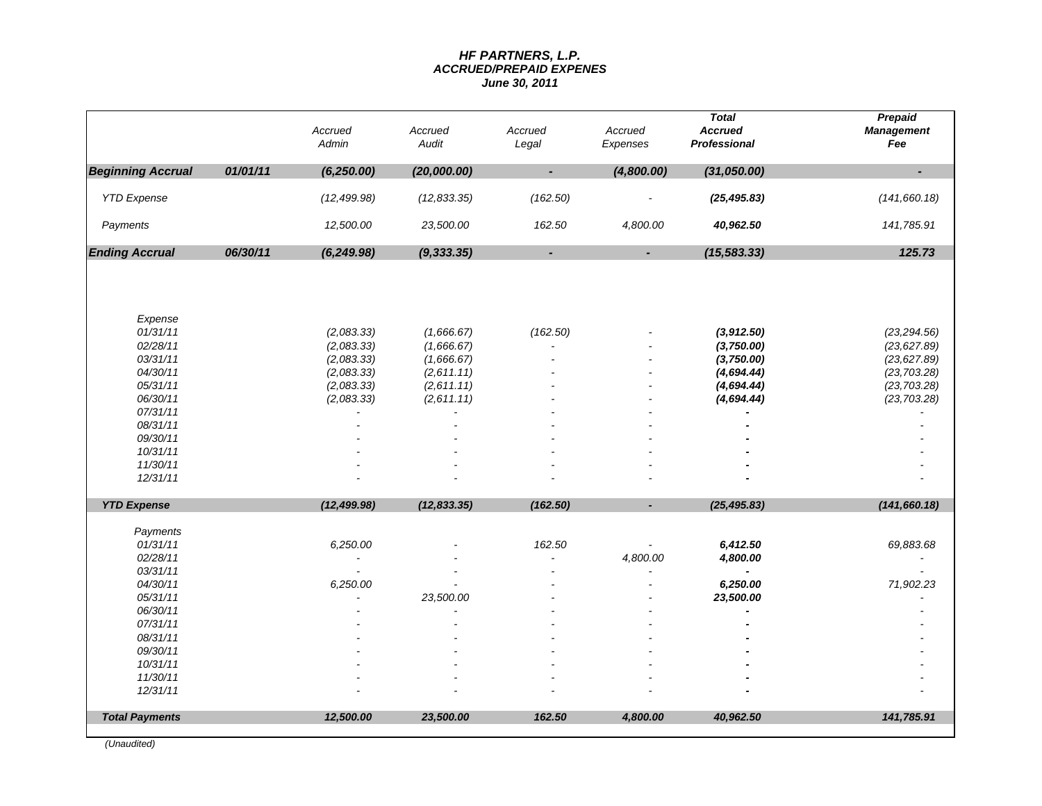#### *HF PARTNERS, L.P. ACCRUED/PREPAID EXPENES June 30, 2011*

|                          |          | Accrued<br>Admin | Accrued<br>Audit | Accrued<br>Legal | Accrued<br>Expenses | <b>Total</b><br><b>Accrued</b><br><b>Professional</b> | Prepaid<br><b>Management</b><br>Fee |
|--------------------------|----------|------------------|------------------|------------------|---------------------|-------------------------------------------------------|-------------------------------------|
| <b>Beginning Accrual</b> | 01/01/11 | (6, 250.00)      | (20,000.00)      | ÷,               | (4,800.00)          | (31,050.00)                                           | $\overline{\phantom{a}}$            |
| <b>YTD Expense</b>       |          | (12, 499.98)     | (12, 833.35)     | (162.50)         |                     | (25, 495.83)                                          | (141, 660.18)                       |
| Payments                 |          | 12,500.00        | 23,500.00        | 162.50           | 4,800.00            | 40,962.50                                             | 141,785.91                          |
| <b>Ending Accrual</b>    | 06/30/11 | (6, 249.98)      | (9, 333.35)      | $\blacksquare$   | $\blacksquare$      | (15, 583.33)                                          | 125.73                              |
| Expense                  |          |                  |                  |                  |                     |                                                       |                                     |
| 01/31/11                 |          | (2,083.33)       | (1,666.67)       | (162.50)         |                     | (3,912.50)                                            | (23, 294.56)                        |
| 02/28/11                 |          | (2,083.33)       | (1,666.67)       |                  |                     | (3,750.00)                                            | (23, 627.89)                        |
| 03/31/11                 |          | (2,083.33)       | (1,666.67)       |                  |                     | (3,750.00)                                            | (23, 627.89)                        |
| 04/30/11                 |          | (2,083.33)       | (2,611.11)       |                  |                     | (4,694.44)                                            | (23, 703.28)                        |
| 05/31/11                 |          | (2,083.33)       | (2,611.11)       |                  |                     | (4,694.44)                                            | (23, 703.28)                        |
| 06/30/11<br>07/31/11     |          | (2,083.33)       | (2,611.11)       |                  |                     | (4,694.44)                                            | (23, 703.28)                        |
| 08/31/11                 |          |                  |                  |                  |                     |                                                       |                                     |
| 09/30/11                 |          |                  |                  |                  |                     |                                                       |                                     |
| 10/31/11                 |          |                  |                  |                  |                     |                                                       |                                     |
| 11/30/11                 |          |                  |                  |                  |                     |                                                       |                                     |
| 12/31/11                 |          |                  |                  |                  |                     |                                                       |                                     |
| <b>YTD Expense</b>       |          | (12, 499.98)     | (12, 833.35)     | (162.50)         |                     | (25, 495.83)                                          | (141, 660.18)                       |
| Payments                 |          |                  |                  |                  |                     |                                                       |                                     |
| 01/31/11                 |          | 6,250.00         |                  | 162.50           |                     | 6,412.50                                              | 69,883.68                           |
| 02/28/11                 |          |                  |                  |                  | 4,800.00            | 4,800.00                                              |                                     |
| 03/31/11                 |          |                  |                  |                  |                     |                                                       |                                     |
| 04/30/11                 |          | 6,250.00         |                  |                  |                     | 6,250.00                                              | 71,902.23                           |
| 05/31/11<br>06/30/11     |          |                  | 23,500.00        |                  |                     | 23,500.00<br>$\blacksquare$                           |                                     |
| 07/31/11                 |          |                  |                  |                  |                     |                                                       |                                     |
| 08/31/11                 |          |                  |                  |                  |                     |                                                       |                                     |
| 09/30/11                 |          |                  |                  |                  |                     |                                                       |                                     |
| 10/31/11                 |          |                  |                  |                  |                     |                                                       |                                     |
| 11/30/11                 |          |                  |                  |                  |                     |                                                       |                                     |
| 12/31/11                 |          |                  |                  |                  |                     |                                                       |                                     |
| <b>Total Payments</b>    |          | 12,500.00        | 23,500.00        | 162.50           | 4,800.00            | 40,962.50                                             | 141,785.91                          |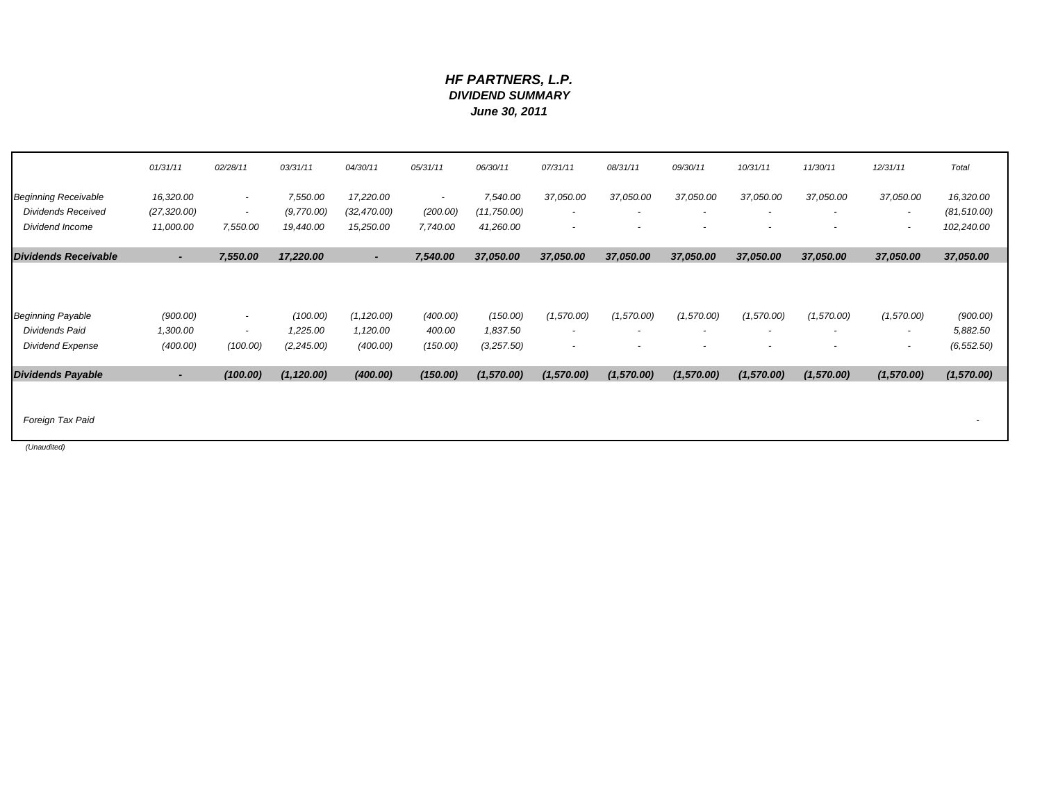### *HF PARTNERS, L.P. DIVIDEND SUMMARY June 30, 2011*

|                                            | 01/31/11             | 02/28/11                       | 03/31/11             | 04/30/11                 | 05/31/11                 | 06/30/11             | 07/31/11                               | 08/31/11   | 09/30/11                 | 10/31/11                 | 11/30/11                 | 12/31/11                               | Total                |
|--------------------------------------------|----------------------|--------------------------------|----------------------|--------------------------|--------------------------|----------------------|----------------------------------------|------------|--------------------------|--------------------------|--------------------------|----------------------------------------|----------------------|
| <b>Beginning Receivable</b>                | 16,320.00            | ٠                              | 7,550.00             | 17,220.00                | $\overline{\phantom{a}}$ | 7,540.00             | 37,050.00                              | 37,050.00  | 37,050.00                | 37,050.00                | 37,050.00                | 37,050.00                              | 16,320.00            |
| <b>Dividends Received</b>                  | (27, 320.00)         | $\overline{\phantom{a}}$       | (9,770.00)           | (32, 470.00)             | (200.00)                 | (11, 750.00)         | $\overline{\phantom{a}}$               |            | $\overline{\phantom{a}}$ | $\overline{\phantom{a}}$ |                          | $\overline{\phantom{a}}$               | (81, 510.00)         |
| Dividend Income                            | 11,000.00            | 7,550.00                       | 19,440.00            | 15,250.00                | 7,740.00                 | 41,260.00            | $\overline{\phantom{a}}$               |            | $\overline{\phantom{a}}$ | $\overline{\phantom{a}}$ | $\overline{\phantom{a}}$ | $\overline{\phantom{a}}$               | 102,240.00           |
| <b>Dividends Receivable</b>                | $\blacksquare$       | 7,550.00                       | 17,220.00            | $\overline{\phantom{a}}$ | 7,540.00                 | 37,050.00            | 37,050.00                              | 37,050.00  | 37,050.00                | 37,050.00                | 37,050.00                | 37,050.00                              | 37,050.00            |
| <b>Beginning Payable</b><br>Dividends Paid | (900.00)<br>1,300.00 | ۰.<br>$\overline{\phantom{a}}$ | (100.00)<br>1,225.00 | (1, 120.00)<br>1,120.00  | (400.00)<br>400.00       | (150.00)<br>1,837.50 | (1,570.00)<br>$\overline{\phantom{a}}$ | (1,570.00) | (1,570.00)               | (1,570.00)               | (1,570.00)               | (1,570.00)<br>$\overline{\phantom{a}}$ | (900.00)<br>5,882.50 |
| <b>Dividend Expense</b>                    | (400.00)             | (100.00)                       | (2, 245.00)          | (400.00)                 | (150.00)                 | (3,257.50)           | $\overline{\phantom{a}}$               |            | $\overline{\phantom{a}}$ | $\overline{\phantom{a}}$ | $\overline{\phantom{a}}$ | $\overline{\phantom{a}}$               | (6, 552.50)          |
| <b>Dividends Payable</b>                   |                      | (100.00)                       | (1, 120.00)          | (400.00)                 | (150.00)                 | (1,570.00)           | (1,570.00)                             | (1,570.00) | (1,570.00)               | (1,570.00)               | (1,570.00)               | (1,570.00)                             | (1,570.00)           |
| Foreign Tax Paid                           |                      |                                |                      |                          |                          |                      |                                        |            |                          |                          |                          |                                        |                      |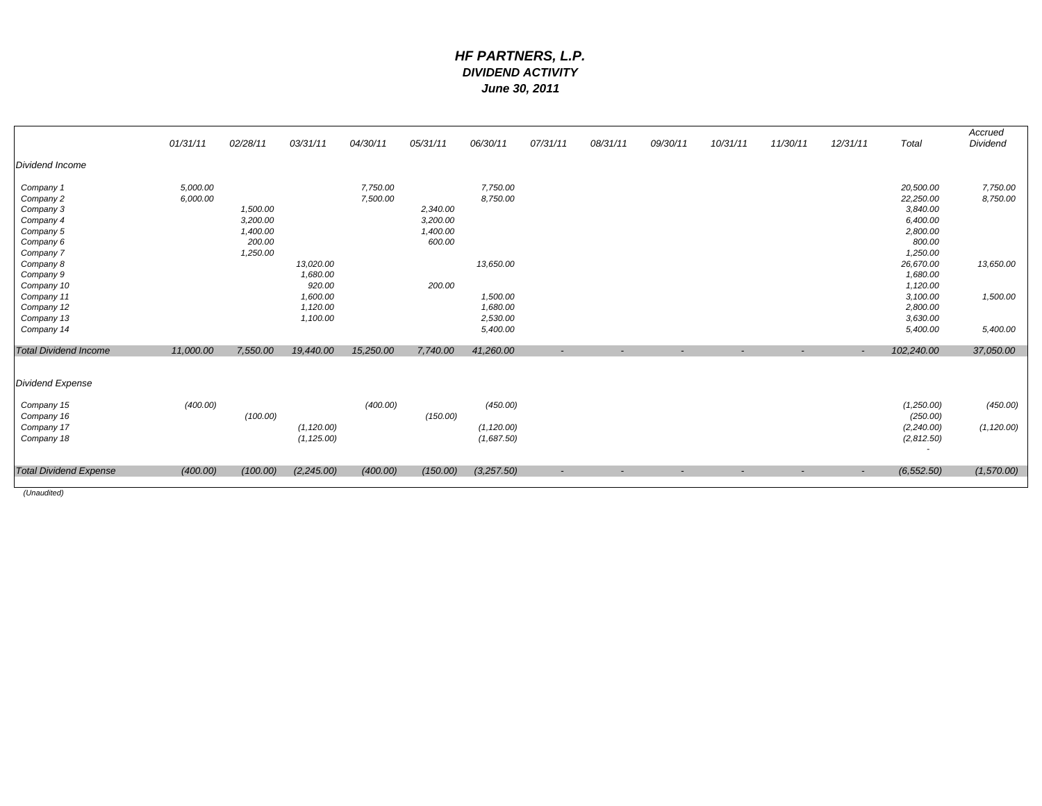### *HF PARTNERS, L.P. DIVIDEND ACTIVITY June 30, 2011*

|                               | 01/31/11  | 02/28/11 | 03/31/11    | 04/30/11  | 05/31/11 | 06/30/11    | 07/31/11 | 08/31/11                 | 09/30/11                 | 10/31/11                 | 11/30/11 | 12/31/11                 | Total       | Accrued<br>Dividend |
|-------------------------------|-----------|----------|-------------|-----------|----------|-------------|----------|--------------------------|--------------------------|--------------------------|----------|--------------------------|-------------|---------------------|
| Dividend Income               |           |          |             |           |          |             |          |                          |                          |                          |          |                          |             |                     |
| Company 1                     | 5,000.00  |          |             | 7,750.00  |          | 7,750.00    |          |                          |                          |                          |          |                          | 20,500.00   | 7,750.00            |
| Company 2                     | 6,000.00  |          |             | 7,500.00  |          | 8,750.00    |          |                          |                          |                          |          |                          | 22,250.00   | 8,750.00            |
| Company 3                     |           | 1,500.00 |             |           | 2,340.00 |             |          |                          |                          |                          |          |                          | 3,840.00    |                     |
| Company 4                     |           | 3,200.00 |             |           | 3,200.00 |             |          |                          |                          |                          |          |                          | 6,400.00    |                     |
| Company 5                     |           | 1,400.00 |             |           | 1,400.00 |             |          |                          |                          |                          |          |                          | 2,800.00    |                     |
| Company 6                     |           | 200.00   |             |           | 600.00   |             |          |                          |                          |                          |          |                          | 800.00      |                     |
| Company 7                     |           | 1,250.00 |             |           |          |             |          |                          |                          |                          |          |                          | 1,250.00    |                     |
| Company 8                     |           |          | 13,020.00   |           |          | 13,650.00   |          |                          |                          |                          |          |                          | 26,670.00   | 13,650.00           |
| Company 9                     |           |          | 1,680.00    |           |          |             |          |                          |                          |                          |          |                          | 1,680.00    |                     |
| Company 10                    |           |          | 920.00      |           | 200.00   |             |          |                          |                          |                          |          |                          | 1,120.00    |                     |
| Company 11                    |           |          | 1,600.00    |           |          | 1,500.00    |          |                          |                          |                          |          |                          | 3,100.00    | 1,500.00            |
| Company 12                    |           |          | 1,120.00    |           |          | 1,680.00    |          |                          |                          |                          |          |                          | 2,800.00    |                     |
| Company 13                    |           |          | 1,100.00    |           |          | 2,530.00    |          |                          |                          |                          |          |                          | 3,630.00    |                     |
| Company 14                    |           |          |             |           |          | 5,400.00    |          |                          |                          |                          |          |                          | 5,400.00    | 5,400.00            |
| <b>Total Dividend Income</b>  | 11,000.00 | 7,550.00 | 19,440.00   | 15,250.00 | 7,740.00 | 41,260.00   | ٠        |                          |                          |                          |          | $\overline{\phantom{a}}$ | 102,240.00  | 37,050.00           |
| <b>Dividend Expense</b>       |           |          |             |           |          |             |          |                          |                          |                          |          |                          |             |                     |
| Company 15                    | (400.00)  |          |             | (400.00)  |          | (450.00)    |          |                          |                          |                          |          |                          | (1,250.00)  | (450.00)            |
| Company 16                    |           | (100.00) |             |           | (150.00) |             |          |                          |                          |                          |          |                          | (250.00)    |                     |
| Company 17                    |           |          | (1, 120.00) |           |          | (1, 120.00) |          |                          |                          |                          |          |                          | (2, 240.00) | (1, 120.00)         |
| Company 18                    |           |          | (1, 125.00) |           |          | (1,687.50)  |          |                          |                          |                          |          |                          | (2,812.50)  |                     |
| <b>Total Dividend Expense</b> | (400.00)  | (100.00) | (2, 245.00) | (400.00)  | (150.00) | (3,257.50)  |          |                          |                          |                          |          |                          |             |                     |
|                               |           |          |             |           |          |             | $\sim$   | $\overline{\phantom{a}}$ | $\overline{\phantom{a}}$ | $\overline{\phantom{a}}$ | $\sim$   | $\sim$                   | (6, 552.50) | (1,570.00)          |
| $(1$ lnouditod $)$            |           |          |             |           |          |             |          |                          |                          |                          |          |                          |             |                     |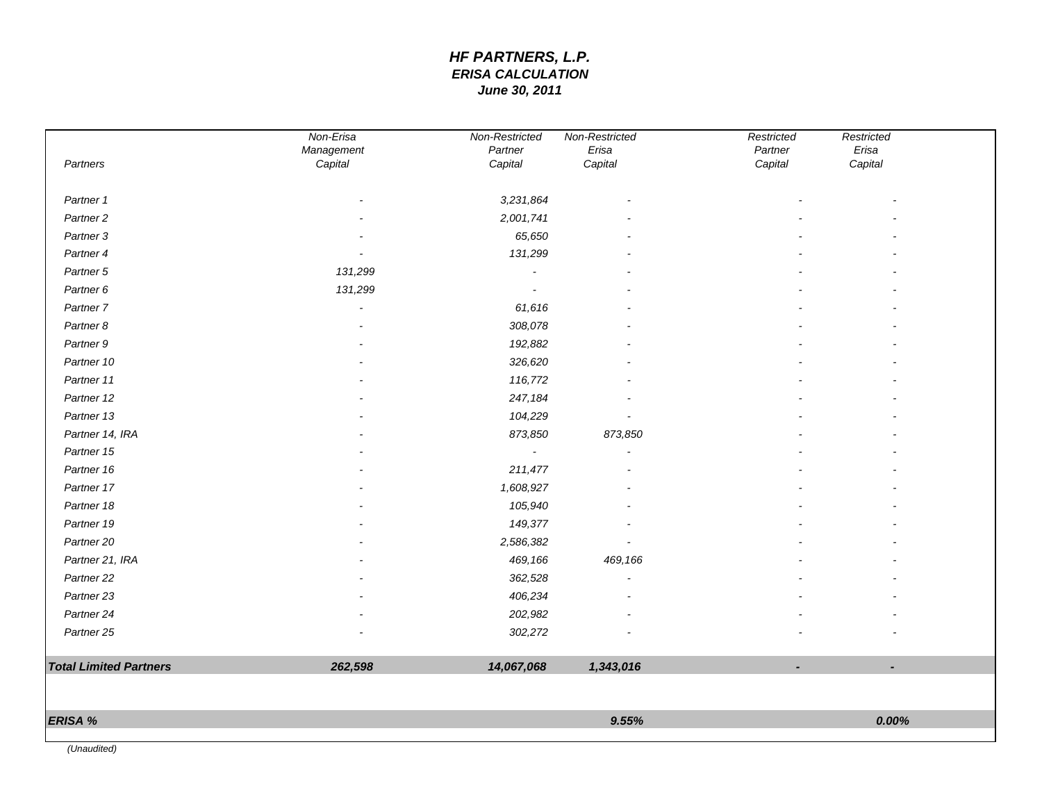# *HF PARTNERS, L.P. ERISA CALCULATION June 30, 2011*

| Partners                      | Non-Erisa<br>Management<br>Capital | Non-Restricted<br>Partner<br>Capital | Non-Restricted<br>Erisa<br>Capital | Restricted<br>Partner<br>Capital | Restricted<br>Erisa<br>Capital |  |
|-------------------------------|------------------------------------|--------------------------------------|------------------------------------|----------------------------------|--------------------------------|--|
| Partner 1                     |                                    | 3,231,864                            |                                    |                                  |                                |  |
| Partner <sub>2</sub>          |                                    | 2,001,741                            |                                    |                                  |                                |  |
| Partner <sub>3</sub>          |                                    | 65,650                               |                                    |                                  |                                |  |
| Partner 4                     |                                    | 131,299                              |                                    |                                  |                                |  |
| Partner 5                     | 131,299                            |                                      |                                    |                                  |                                |  |
| Partner 6                     | 131,299                            |                                      |                                    |                                  |                                |  |
| Partner 7                     |                                    | 61,616                               |                                    |                                  |                                |  |
| Partner 8                     |                                    | 308,078                              |                                    |                                  |                                |  |
| Partner 9                     |                                    | 192,882                              |                                    |                                  |                                |  |
| Partner 10                    |                                    | 326,620                              |                                    |                                  |                                |  |
| Partner 11                    |                                    | 116,772                              |                                    |                                  |                                |  |
| Partner 12                    |                                    | 247,184                              |                                    |                                  |                                |  |
| Partner 13                    |                                    | 104,229                              |                                    |                                  |                                |  |
| Partner 14, IRA               |                                    | 873,850                              | 873,850                            |                                  |                                |  |
| Partner 15                    |                                    | $\blacksquare$                       |                                    |                                  |                                |  |
| Partner 16                    |                                    | 211,477                              |                                    |                                  |                                |  |
| Partner 17                    |                                    | 1,608,927                            |                                    |                                  |                                |  |
| Partner 18                    |                                    | 105,940                              |                                    |                                  |                                |  |
| Partner 19                    |                                    | 149,377                              |                                    |                                  |                                |  |
| Partner 20                    |                                    | 2,586,382                            |                                    |                                  |                                |  |
| Partner 21, IRA               |                                    | 469,166                              | 469,166                            |                                  |                                |  |
| Partner <sub>22</sub>         |                                    | 362,528                              |                                    |                                  |                                |  |
| Partner 23                    |                                    | 406,234                              |                                    |                                  |                                |  |
| Partner 24                    |                                    | 202,982                              |                                    |                                  |                                |  |
| Partner 25                    |                                    | 302,272                              |                                    |                                  |                                |  |
| <b>Total Limited Partners</b> | 262,598                            | 14,067,068                           | 1,343,016                          | ٠                                | $\blacksquare$                 |  |
|                               |                                    |                                      |                                    |                                  |                                |  |
| ERISA %                       |                                    |                                      | 9.55%                              |                                  | 0.00%                          |  |